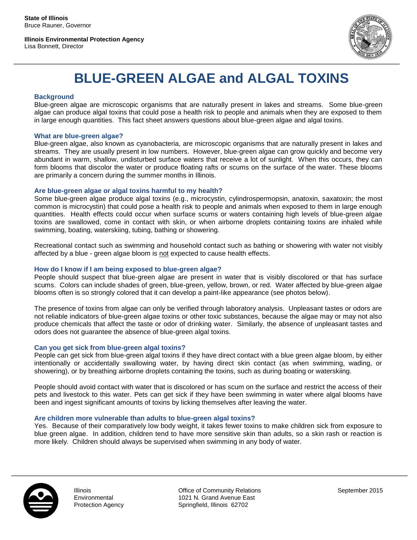**Illinois Environmental Protection Agency** Lisa Bonnett, Director



# **BLUE-GREEN ALGAE and ALGAL TOXINS**

# **Background**

Blue-green algae are microscopic organisms that are naturally present in lakes and streams. Some blue-green algae can produce algal toxins that could pose a health risk to people and animals when they are exposed to them in large enough quantities. This fact sheet answers questions about blue-green algae and algal toxins.

## **What are blue-green algae?**

Blue-green algae, also known as cyanobacteria, are microscopic organisms that are naturally present in lakes and streams. They are usually present in low numbers. However, blue-green algae can grow quickly and become very abundant in warm, shallow, undisturbed surface waters that receive a lot of sunlight. When this occurs, they can form blooms that discolor the water or produce floating rafts or scums on the surface of the water. These blooms are primarily a concern during the summer months in Illinois.

# **Are blue-green algae or algal toxins harmful to my health?**

Some blue-green algae produce algal toxins (e.g., microcystin, cylindrospermopsin, anatoxin, saxatoxin; the most common is microcystin) that could pose a health risk to people and animals when exposed to them in large enough quantities. Health effects could occur when surface scums or waters containing high levels of blue-green algae toxins are swallowed, come in contact with skin, or when airborne droplets containing toxins are inhaled while swimming, boating, waterskiing, tubing, bathing or showering.

Recreational contact such as swimming and household contact such as bathing or showering with water not visibly affected by a blue - green algae bloom is not expected to cause health effects.

# **How do I know if I am being exposed to blue-green algae?**

People should suspect that blue-green algae are present in water that is visibly discolored or that has surface scums. Colors can include shades of green, blue-green, yellow, brown, or red. Water affected by blue-green algae blooms often is so strongly colored that it can develop a paint-like appearance (see photos below).

The presence of toxins from algae can only be verified through laboratory analysis. Unpleasant tastes or odors are not reliable indicators of blue-green algae toxins or other toxic substances, because the algae may or may not also produce chemicals that affect the taste or odor of drinking water. Similarly, the absence of unpleasant tastes and odors does not guarantee the absence of blue-green algal toxins.

# **Can you get sick from blue-green algal toxins?**

People can get sick from blue-green algal toxins if they have direct contact with a blue green algae bloom, by either intentionally or accidentally swallowing water, by having direct skin contact (as when swimming, wading, or showering), or by breathing airborne droplets containing the toxins, such as during boating or waterskiing.

People should avoid contact with water that is discolored or has scum on the surface and restrict the access of their pets and livestock to this water. Pets can get sick if they have been swimming in water where algal blooms have been and ingest significant amounts of toxins by licking themselves after leaving the water.

## **Are children more vulnerable than adults to blue-green algal toxins?**

Yes. Because of their comparatively low body weight, it takes fewer toxins to make children sick from exposure to blue green algae. In addition, children tend to have more sensitive skin than adults, so a skin rash or reaction is more likely. Children should always be supervised when swimming in any body of water.



Illinois **Environmental** Protection Agency

1 Springfield, Illinois 62702 Office of Community Relations 1021 N. Grand Avenue East